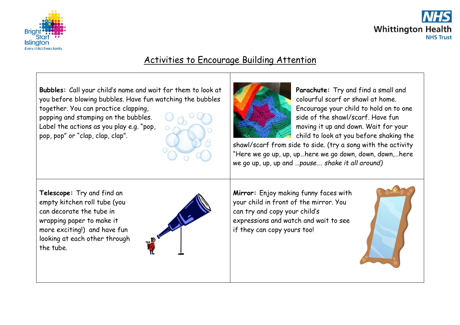



## Activities to Encourage Building Attention

**Bubbles:** Call your child's name and wait for them to look at you before blowing bubbles. Have fun watching the bubbles

together. You can practice clapping, popping and stamping on the bubbles. Label the actions as you play e.g. "pop, pop, pop" or "clap, clap, clap".

**Parachute:** Try and find a small and colourful scarf or shawl at home. Encourage your child to hold on to one side of the shawl/scarf. Have fun moving it up and down. Wait for your child to look at you before shaking the

shawl/scarf from side to side. (try a song with the activity "Here we go up, up, up…here we go down, down, down,…here we go up, up, up and …*pause…. shake it all around)*

**Telescope:** Try and find an empty kitchen roll tube (you can decorate the tube in wrapping paper to make it more exciting!) and have fun looking at each other through the tube.



**Mirror:** Enjoy making funny faces with your child in front of the mirror. You can try and copy your child's expressions and watch and wait to see if they can copy yours too!